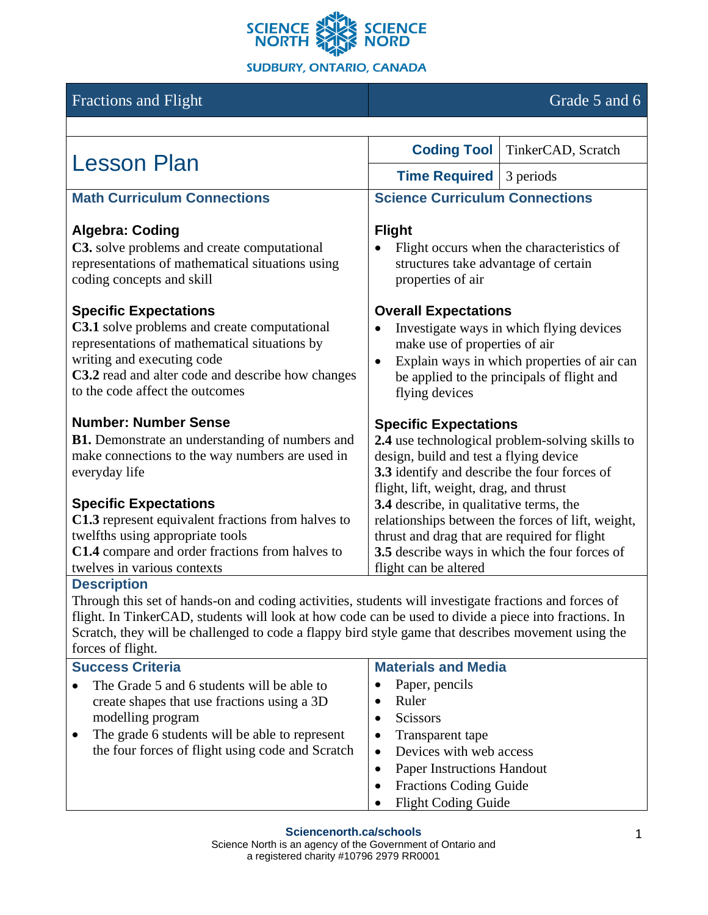

# Fractions and Flight Grade 5 and 6

| <b>Lesson Plan</b>                                                                                                                                                                                                                                         | <b>Coding Tool</b>                                                                                                                                                                                                                   | TinkerCAD, Scratch |
|------------------------------------------------------------------------------------------------------------------------------------------------------------------------------------------------------------------------------------------------------------|--------------------------------------------------------------------------------------------------------------------------------------------------------------------------------------------------------------------------------------|--------------------|
|                                                                                                                                                                                                                                                            | <b>Time Required</b>                                                                                                                                                                                                                 | 3 periods          |
| <b>Math Curriculum Connections</b>                                                                                                                                                                                                                         | <b>Science Curriculum Connections</b>                                                                                                                                                                                                |                    |
| <b>Algebra: Coding</b><br>C3. solve problems and create computational<br>representations of mathematical situations using<br>coding concepts and skill                                                                                                     | <b>Flight</b><br>Flight occurs when the characteristics of<br>structures take advantage of certain<br>properties of air                                                                                                              |                    |
| <b>Specific Expectations</b><br><b>C3.1</b> solve problems and create computational<br>representations of mathematical situations by<br>writing and executing code<br>C3.2 read and alter code and describe how changes<br>to the code affect the outcomes | <b>Overall Expectations</b><br>Investigate ways in which flying devices<br>make use of properties of air<br>Explain ways in which properties of air can<br>$\bullet$<br>be applied to the principals of flight and<br>flying devices |                    |
| <b>Number: Number Sense</b><br><b>B1.</b> Demonstrate an understanding of numbers and<br>make connections to the way numbers are used in<br>everyday life                                                                                                  | <b>Specific Expectations</b><br>2.4 use technological problem-solving skills to<br>design, build and test a flying device<br>3.3 identify and describe the four forces of<br>flight, lift, weight, drag, and thrust                  |                    |
| <b>Specific Expectations</b>                                                                                                                                                                                                                               | 3.4 describe, in qualitative terms, the                                                                                                                                                                                              |                    |
| C1.3 represent equivalent fractions from halves to                                                                                                                                                                                                         | relationships between the forces of lift, weight,                                                                                                                                                                                    |                    |
| twelfths using appropriate tools                                                                                                                                                                                                                           | thrust and drag that are required for flight                                                                                                                                                                                         |                    |
| C1.4 compare and order fractions from halves to<br>twelves in various contexts                                                                                                                                                                             | 3.5 describe ways in which the four forces of                                                                                                                                                                                        |                    |
| <b>Description</b>                                                                                                                                                                                                                                         | flight can be altered                                                                                                                                                                                                                |                    |
|                                                                                                                                                                                                                                                            |                                                                                                                                                                                                                                      |                    |

Through this set of hands-on and coding activities, students will investigate fractions and forces of flight. In TinkerCAD, students will look at how code can be used to divide a piece into fractions. In Scratch, they will be challenged to code a flappy bird style game that describes movement using the forces of flight.

| <b>Success Criteria</b>                          | <b>Materials and Media</b>        |
|--------------------------------------------------|-----------------------------------|
| The Grade 5 and 6 students will be able to       | Paper, pencils                    |
| create shapes that use fractions using a 3D      | Ruler                             |
| modelling program                                | <b>Scissors</b><br>٠              |
| The grade 6 students will be able to represent   | Transparent tape<br>$\bullet$     |
| the four forces of flight using code and Scratch | Devices with web access<br>٠      |
|                                                  | <b>Paper Instructions Handout</b> |
|                                                  | <b>Fractions Coding Guide</b>     |
|                                                  | <b>Flight Coding Guide</b>        |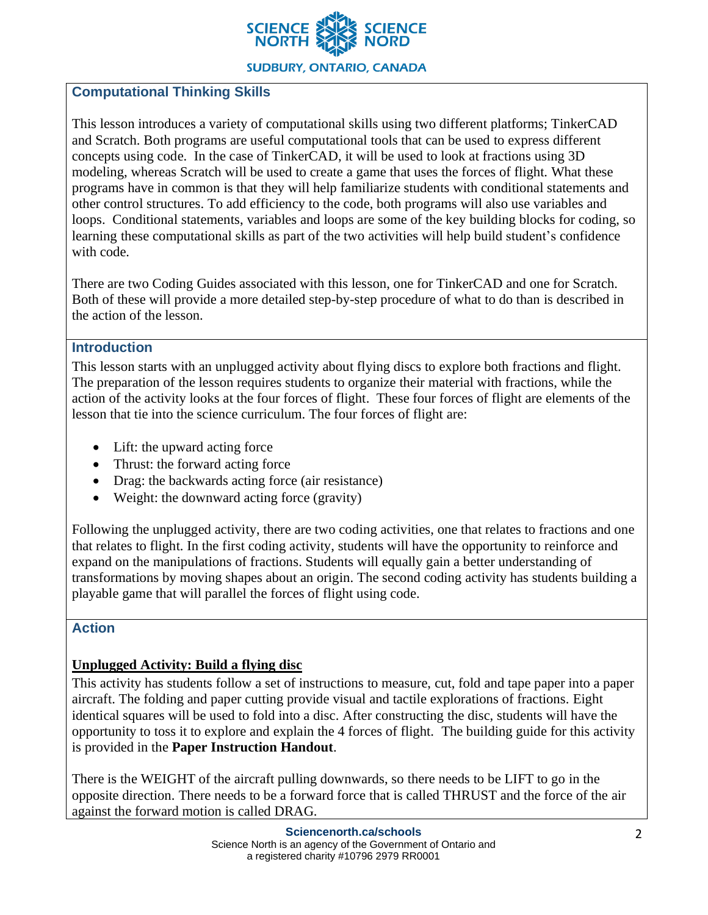

**SUDBURY, ONTARIO, CANADA** 

## **Computational Thinking Skills**

This lesson introduces a variety of computational skills using two different platforms; TinkerCAD and Scratch. Both programs are useful computational tools that can be used to express different concepts using code. In the case of TinkerCAD, it will be used to look at fractions using 3D modeling, whereas Scratch will be used to create a game that uses the forces of flight. What these programs have in common is that they will help familiarize students with conditional statements and other control structures. To add efficiency to the code, both programs will also use variables and loops. Conditional statements, variables and loops are some of the key building blocks for coding, so learning these computational skills as part of the two activities will help build student's confidence with code.

There are two Coding Guides associated with this lesson, one for TinkerCAD and one for Scratch. Both of these will provide a more detailed step-by-step procedure of what to do than is described in the action of the lesson.

#### **Introduction**

This lesson starts with an unplugged activity about flying discs to explore both fractions and flight. The preparation of the lesson requires students to organize their material with fractions, while the action of the activity looks at the four forces of flight. These four forces of flight are elements of the lesson that tie into the science curriculum. The four forces of flight are:

- Lift: the upward acting force
- Thrust: the forward acting force
- Drag: the backwards acting force (air resistance)
- Weight: the downward acting force (gravity)

Following the unplugged activity, there are two coding activities, one that relates to fractions and one that relates to flight. In the first coding activity, students will have the opportunity to reinforce and expand on the manipulations of fractions. Students will equally gain a better understanding of transformations by moving shapes about an origin. The second coding activity has students building a playable game that will parallel the forces of flight using code.

#### **Action**

#### **Unplugged Activity: Build a flying disc**

This activity has students follow a set of instructions to measure, cut, fold and tape paper into a paper aircraft. The folding and paper cutting provide visual and tactile explorations of fractions. Eight identical squares will be used to fold into a disc. After constructing the disc, students will have the opportunity to toss it to explore and explain the 4 forces of flight. The building guide for this activity is provided in the **Paper Instruction Handout**.

There is the WEIGHT of the aircraft pulling downwards, so there needs to be LIFT to go in the opposite direction. There needs to be a forward force that is called THRUST and the force of the air against the forward motion is called DRAG.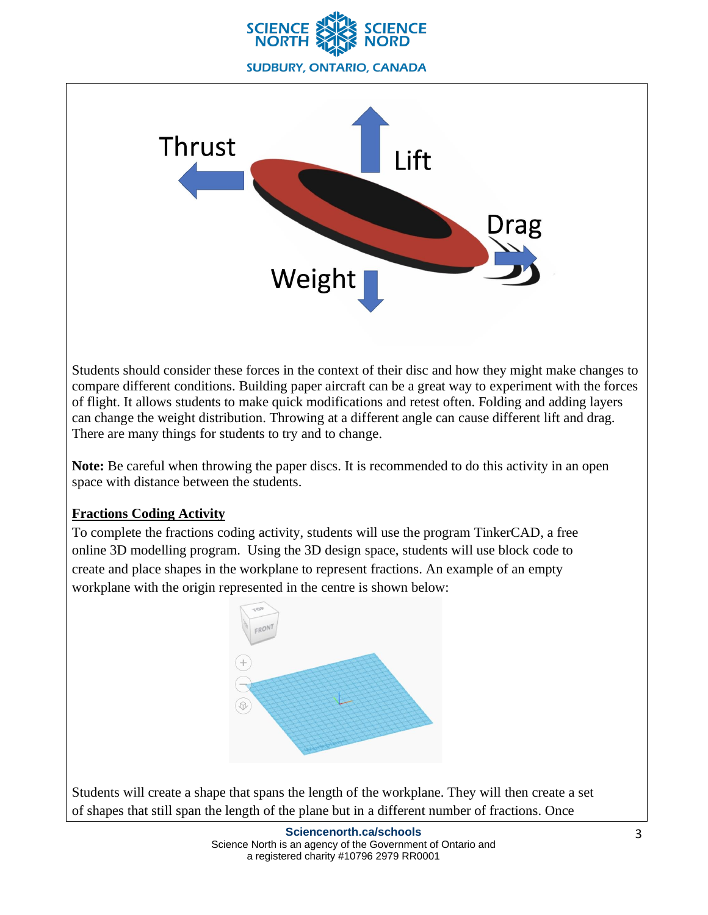



Students should consider these forces in the context of their disc and how they might make changes to compare different conditions. Building paper aircraft can be a great way to experiment with the forces of flight. It allows students to make quick modifications and retest often. Folding and adding layers can change the weight distribution. Throwing at a different angle can cause different lift and drag. There are many things for students to try and to change.

**Note:** Be careful when throwing the paper discs. It is recommended to do this activity in an open space with distance between the students.

#### **Fractions Coding Activity**

To complete the fractions coding activity, students will use the program TinkerCAD, a free online 3D modelling program. Using the 3D design space, students will use block code to create and place shapes in the workplane to represent fractions. An example of an empty workplane with the origin represented in the centre is shown below:



Students will create a shape that spans the length of the workplane. They will then create a set of shapes that still span the length of the plane but in a different number of fractions. Once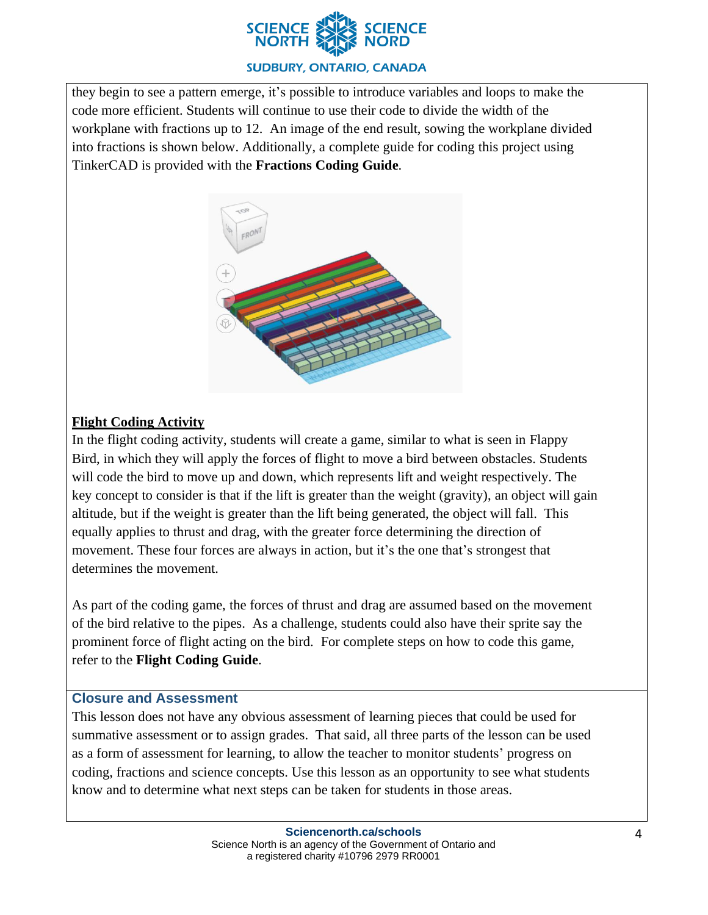

#### **SUDBURY, ONTARIO, CANADA**

they begin to see a pattern emerge, it's possible to introduce variables and loops to make the code more efficient. Students will continue to use their code to divide the width of the workplane with fractions up to 12. An image of the end result, sowing the workplane divided into fractions is shown below. Additionally, a complete guide for coding this project using TinkerCAD is provided with the **Fractions Coding Guide**.



## **Flight Coding Activity**

In the flight coding activity, students will create a game, similar to what is seen in Flappy Bird, in which they will apply the forces of flight to move a bird between obstacles. Students will code the bird to move up and down, which represents lift and weight respectively. The key concept to consider is that if the lift is greater than the weight (gravity), an object will gain altitude, but if the weight is greater than the lift being generated, the object will fall. This equally applies to thrust and drag, with the greater force determining the direction of movement. These four forces are always in action, but it's the one that's strongest that determines the movement.

As part of the coding game, the forces of thrust and drag are assumed based on the movement of the bird relative to the pipes. As a challenge, students could also have their sprite say the prominent force of flight acting on the bird. For complete steps on how to code this game, refer to the **Flight Coding Guide**.

#### **Closure and Assessment**

This lesson does not have any obvious assessment of learning pieces that could be used for summative assessment or to assign grades. That said, all three parts of the lesson can be used as a form of assessment for learning, to allow the teacher to monitor students' progress on coding, fractions and science concepts. Use this lesson as an opportunity to see what students know and to determine what next steps can be taken for students in those areas.